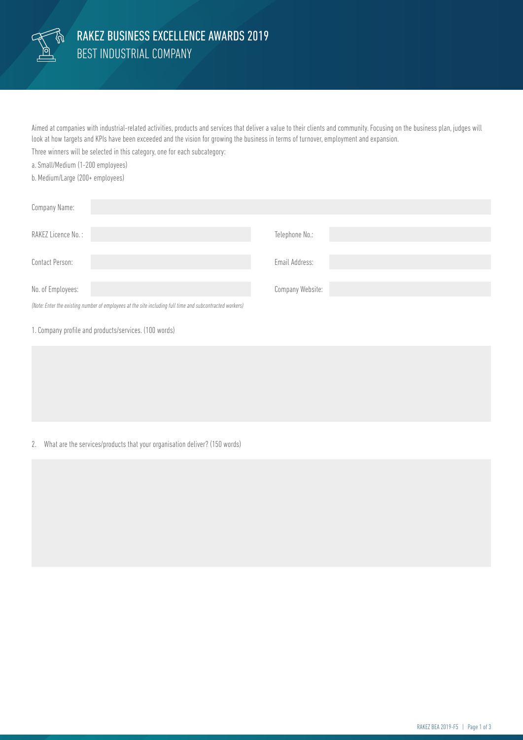

Aimed at companies with industrial-related activities, products and services that deliver a value to their clients and community. Focusing on the business plan, judges will look at how targets and KPIs have been exceeded and the vision for growing the business in terms of turnover, employment and expansion.

Three winners will be selected in this category, one for each subcategory:

a. Small/Medium (1-200 employees)

b. Medium/Large (200+ employees)

| Company Name:                                                                                            |                  |
|----------------------------------------------------------------------------------------------------------|------------------|
| RAKEZ Licence No.:                                                                                       | Telephone No.:   |
| Contact Person:                                                                                          | Email Address:   |
| No. of Employees:                                                                                        | Company Website: |
| (Note: Enter the existing number of employees at the site including full time and subcontracted workers) |                  |

1. Company profile and products/services. (100 words)

## 2. What are the services/products that your organisation deliver? (150 words)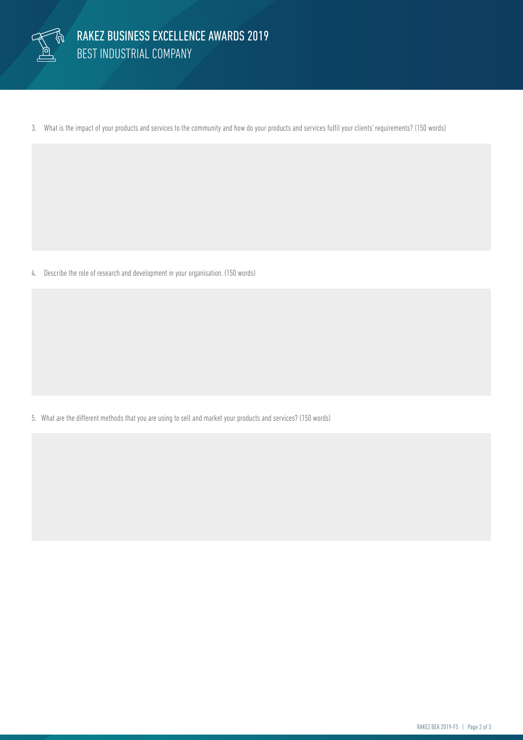

3. What is the impact of your products and services to the community and how do your products and services fulfil your clients' requirements? (150 words)

4. Describe the role of research and development in your organisation. (150 words)

5. What are the different methods that you are using to sell and market your products and services? (150 words)